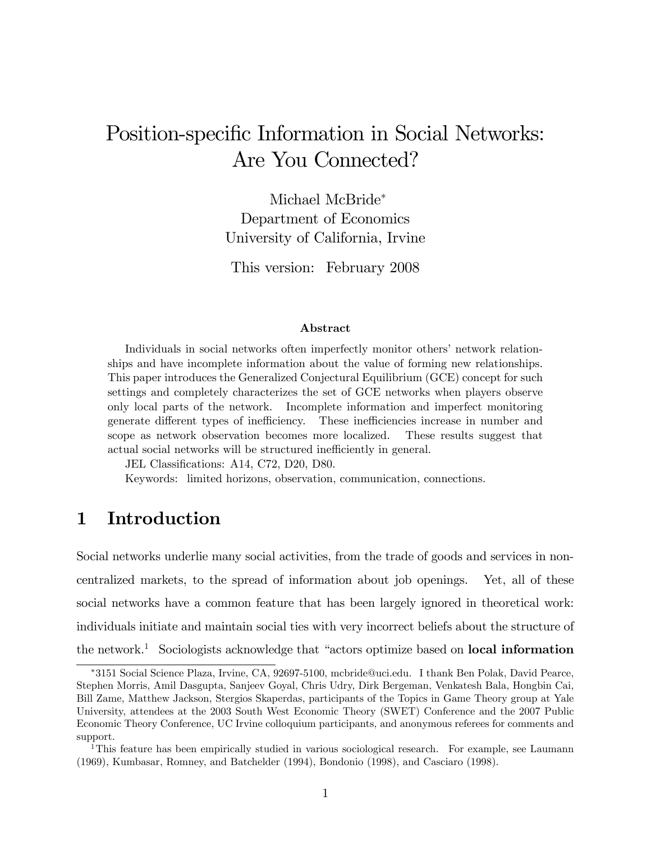# Position-specific Information in Social Networks: Are You Connected?

Michael McBride\* Department of Economics University of California, Irvine

This version: February 2008

#### Abstract

Individuals in social networks often imperfectly monitor others' network relationships and have incomplete information about the value of forming new relationships. This paper introduces the Generalized Conjectural Equilibrium (GCE) concept for such settings and completely characterizes the set of GCE networks when players observe only local parts of the network. Incomplete information and imperfect monitoring generate different types of inefficiency. These inefficiencies increase in number and scope as network observation becomes more localized. These results suggest that actual social networks will be structured inefficiently in general.

JEL Classifications: A14, C72, D20, D80.

Keywords: limited horizons, observation, communication, connections.

# 1 Introduction

Social networks underlie many social activities, from the trade of goods and services in noncentralized markets, to the spread of information about job openings. Yet, all of these social networks have a common feature that has been largely ignored in theoretical work: individuals initiate and maintain social ties with very incorrect beliefs about the structure of the network.<sup>1</sup> Sociologists acknowledge that "actors optimize based on **local information** 

<sup>\*3151</sup> Social Science Plaza, Irvine, CA, 92697-5100, mcbride@uci.edu. I thank Ben Polak, David Pearce, Stephen Morris, Amil Dasgupta, Sanjeev Goyal, Chris Udry, Dirk Bergeman, Venkatesh Bala, Hongbin Cai, Bill Zame, Matthew Jackson, Stergios Skaperdas, participants of the Topics in Game Theory group at Yale University, attendees at the 2003 South West Economic Theory (SWET) Conference and the 2007 Public Economic Theory Conference, UC Irvine colloquium participants, and anonymous referees for comments and support.

<sup>&</sup>lt;sup>1</sup>This feature has been empirically studied in various sociological research. For example, see Laumann (1969), Kumbasar, Romney, and Batchelder (1994), Bondonio (1998), and Casciaro (1998).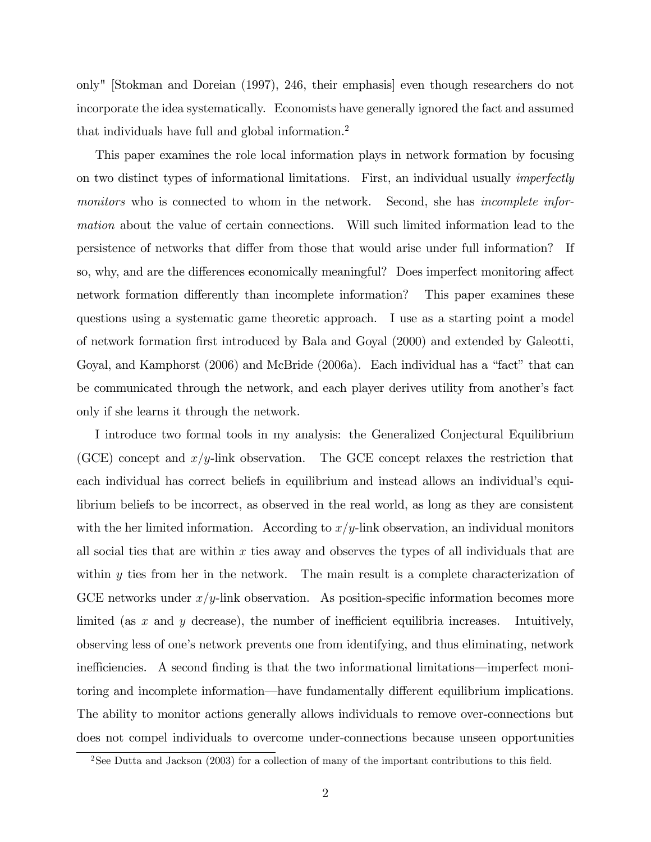only" Stokman and Doreian (1997), 246, their emphasis even though researchers do not incorporate the idea systematically. Economists have generally ignored the fact and assumed that individuals have full and global information.<sup>2</sup>

This paper examines the role local information plays in network formation by focusing on two distinct types of informational limitations. First, an individual usually *imperfectly* monitors who is connected to whom in the network. Second, she has *incomplete infor*mation about the value of certain connections. Will such limited information lead to the persistence of networks that differ from those that would arise under full information? If so, why, and are the differences economically meaningful? Does imperfect monitoring affect network formation differently than incomplete information? This paper examines these questions using a systematic game theoretic approach. I use as a starting point a model of network formation first introduced by Bala and Goyal (2000) and extended by Galeotti, Goyal, and Kamphorst (2006) and McBride (2006a). Each individual has a "fact" that can be communicated through the network, and each player derives utility from another's fact only if she learns it through the network.

I introduce two formal tools in my analysis: the Generalized Conjectural Equilibrium (GCE) concept and  $x/y$ -link observation. The GCE concept relaxes the restriction that each individual has correct beliefs in equilibrium and instead allows an individual's equilibrium beliefs to be incorrect, as observed in the real world, as long as they are consistent with the her limited information. According to  $x/y$ -link observation, an individual monitors all social ties that are within x ties away and observes the types of all individuals that are within  $y$  ties from her in the network. The main result is a complete characterization of GCE networks under  $x/y$ -link observation. As position-specific information becomes more limited (as x and y decrease), the number of inefficient equilibria increases. Intuitively, observing less of one's network prevents one from identifying, and thus eliminating, network inefficiencies. A second finding is that the two informational limitations—imperfect monitoring and incomplete information—have fundamentally different equilibrium implications. The ability to monitor actions generally allows individuals to remove over-connections but does not compel individuals to overcome under-connections because unseen opportunities

<sup>&</sup>lt;sup>2</sup>See Dutta and Jackson (2003) for a collection of many of the important contributions to this field.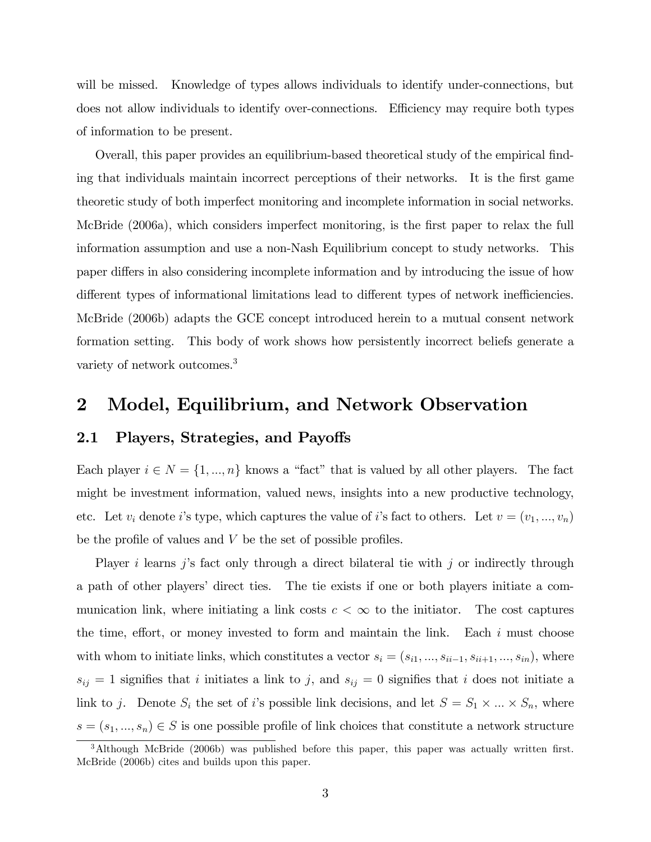will be missed. Knowledge of types allows individuals to identify under-connections, but does not allow individuals to identify over-connections. Efficiency may require both types of information to be present.

Overall, this paper provides an equilibrium-based theoretical study of the empirical finding that individuals maintain incorrect perceptions of their networks. It is the first game theoretic study of both imperfect monitoring and incomplete information in social networks. McBride (2006a), which considers imperfect monitoring, is the first paper to relax the full information assumption and use a non-Nash Equilibrium concept to study networks. This paper differs in also considering incomplete information and by introducing the issue of how different types of informational limitations lead to different types of network inefficiencies. McBride (2006b) adapts the GCE concept introduced herein to a mutual consent network formation setting. This body of work shows how persistently incorrect beliefs generate a variety of network outcomes.<sup>3</sup>

# 2 Model, Equilibrium, and Network Observation

### 2.1 Players, Strategies, and Payoffs

Each player  $i \in N = \{1, ..., n\}$  knows a "fact" that is valued by all other players. The fact might be investment information, valued news, insights into a new productive technology, etc. Let  $v_i$  denote *i*'s type, which captures the value of *i*'s fact to others. Let  $v = (v_1, ..., v_n)$ be the profile of values and  $V$  be the set of possible profiles.

Player i learns j's fact only through a direct bilateral tie with j or indirectly through a path of other players' direct ties. The tie exists if one or both players initiate a communication link, where initiating a link costs  $c < \infty$  to the initiator. The cost captures the time, effort, or money invested to form and maintain the link. Each  $i$  must choose with whom to initiate links, which constitutes a vector  $s_i = (s_{i1}, ..., s_{ii-1}, s_{ii+1}, ..., s_{in})$ , where  $s_{ij} = 1$  signifies that i initiates a link to j, and  $s_{ij} = 0$  signifies that i does not initiate a link to j. Denote  $S_i$  the set of i's possible link decisions, and let  $S = S_1 \times ... \times S_n$ , where  $s = (s_1, ..., s_n) \in S$  is one possible profile of link choices that constitute a network structure

<sup>&</sup>lt;sup>3</sup>Although McBride (2006b) was published before this paper, this paper was actually written first. McBride (2006b) cites and builds upon this paper.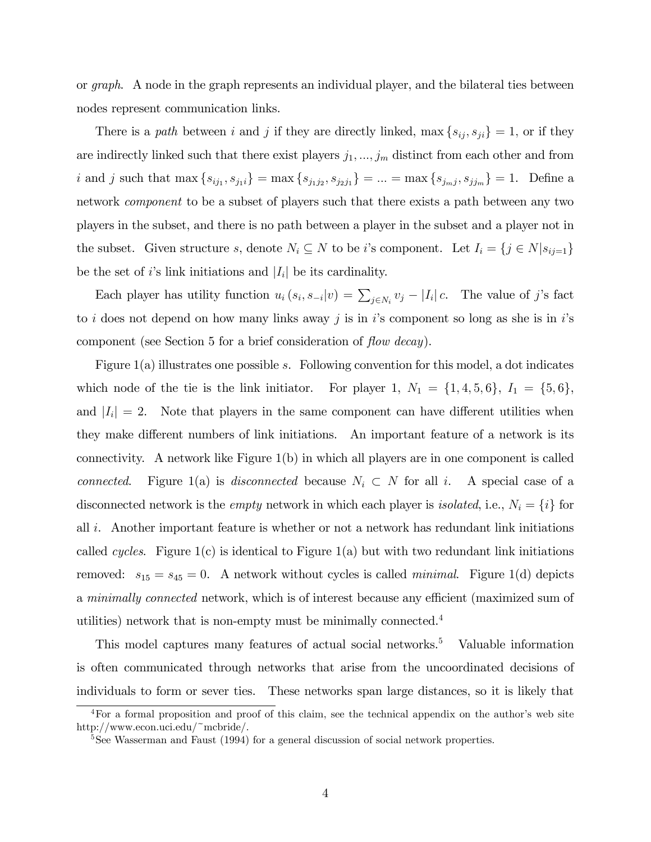or graph. A node in the graph represents an individual player, and the bilateral ties between nodes represent communication links.

There is a path between i and j if they are directly linked, max  $\{s_{ij}, s_{ji}\} = 1$ , or if they are indirectly linked such that there exist players  $j_1, ..., j_m$  distinct from each other and from *i* and *j* such that  $\max\{s_{ij_1}, s_{j_1}i\} = \max\{s_{j_1j_2}, s_{j_2j_1}\} = ... = \max\{s_{j_mj}, s_{j j_m}\} = 1$ . Define a network *component* to be a subset of players such that there exists a path between any two players in the subset, and there is no path between a player in the subset and a player not in the subset. Given structure s, denote  $N_i \subseteq N$  to be *i*'s component. Let  $I_i = \{j \in N | s_{ij=1}\}\$ be the set of i's link initiations and  $|I_i|$  be its cardinality.

Each player has utility function  $u_i(s_i, s_{-i}|v) = \sum_{j \in N_i} v_j - |I_i|c$ . The value of j's fact to i does not depend on how many links away j is in i's component so long as she is in i's component (see Section 5 for a brief consideration of flow decay).

Figure  $1(a)$  illustrates one possible s. Following convention for this model, a dot indicates which node of the tie is the link initiator. For player 1,  $N_1 = \{1, 4, 5, 6\}, I_1 = \{5, 6\},$ and  $|I_i| = 2$ . Note that players in the same component can have different utilities when they make different numbers of link initiations. An important feature of a network is its connectivity. A network like Figure  $1(b)$  in which all players are in one component is called Figure 1(a) is *disconnected* because  $N_i \subset N$  for all i. A special case of a *connected.* disconnected network is the *empty* network in which each player is *isolated*, i.e.,  $N_i = \{i\}$  for all i. Another important feature is whether or not a network has redundant link initiations called cycles. Figure  $1(c)$  is identical to Figure  $1(a)$  but with two redundant link initiations removed:  $s_{15} = s_{45} = 0$ . A network without cycles is called *minimal*. Figure 1(d) depicts a minimally connected network, which is of interest because any efficient (maximized sum of utilities) network that is non-empty must be minimally connected.<sup>4</sup>

This model captures many features of actual social networks.<sup>5</sup> Valuable information is often communicated through networks that arise from the uncoordinated decisions of individuals to form or sever ties. These networks span large distances, so it is likely that

 ${}^{4}$ For a formal proposition and proof of this claim, see the technical appendix on the author's web site http://www.econ.uci.edu/~mcbride/.

 $5$ See Wasserman and Faust (1994) for a general discussion of social network properties.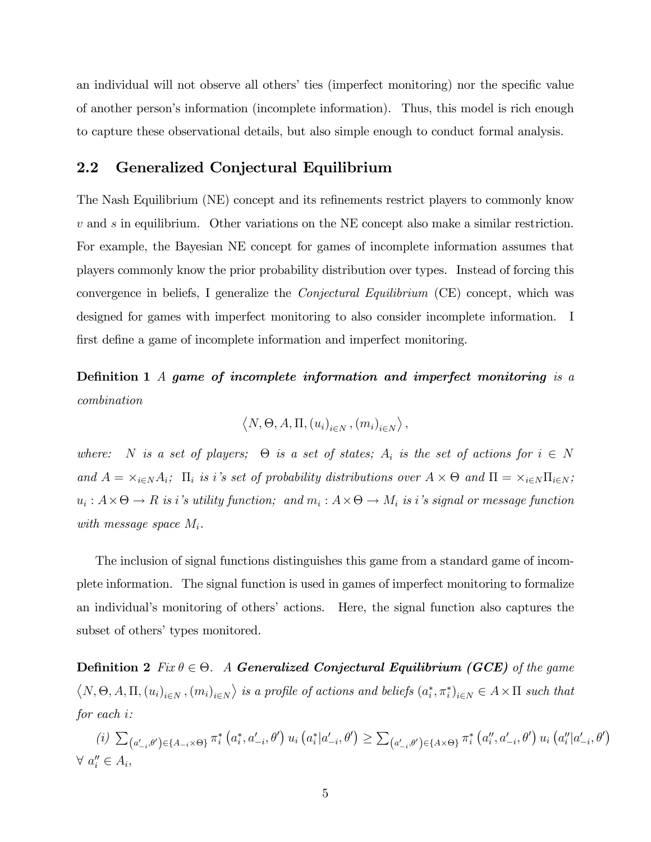an individual will not observe all others' ties (imperfect monitoring) nor the specific value of another person's information (incomplete information). Thus, this model is rich enough to capture these observational details, but also simple enough to conduct formal analysis.

### 2.2 Generalized Conjectural Equilibrium

The Nash Equilibrium (NE) concept and its refinements restrict players to commonly know  $v$  and s in equilibrium. Other variations on the NE concept also make a similar restriction. For example, the Bayesian NE concept for games of incomplete information assumes that players commonly know the prior probability distribution over types. Instead of forcing this convergence in beliefs, I generalize the *Conjectural Equilibrium* (CE) concept, which was designed for games with imperfect monitoring to also consider incomplete information. I first define a game of incomplete information and imperfect monitoring.

Definition 1  $A$  game of incomplete information and imperfect monitoring is a  $combination$ 

$$
\langle N, \Theta, A, \Pi, (u_i)_{i \in N}, (m_i)_{i \in N} \rangle
$$
,

where: N is a set of players;  $\Theta$  is a set of states;  $A_i$  is the set of actions for  $i \in N$ and  $A = \times_{i \in N} A_i$ ;  $\Pi_i$  is i's set of probability distributions over  $A \times \Theta$  and  $\Pi = \times_{i \in N} \Pi_{i \in N}$ ;  $u_i: A \times \Theta \to R$  is i's utility function; and  $m_i: A \times \Theta \to M_i$  is i's signal or message function with message space  $M_i$ .

The inclusion of signal functions distinguishes this game from a standard game of incomplete information. The signal function is used in games of imperfect monitoring to formalize an individual's monitoring of others' actions. Here, the signal function also captures the subset of others' types monitored.

**Definition 2** Fix  $\theta \in \Theta$ . A **Generalized Conjectural Equilibrium (GCE)** of the game  $\langle N, \Theta, A, \Pi, (u_i)_{i \in N}, (m_i)_{i \in N} \rangle$  is a profile of actions and beliefs  $(a_i^*, \pi_i^*)_{i \in N} \in A \times \Pi$  such that for each  $i$ :

(i)  $\sum_{(a'_{-i},\theta') \in \{A_{-i}\times\Theta\}} \pi_i^*\left(a_i^*,a'_{-i},\theta'\right) u_i\left(a_i^*|a'_{-i},\theta'\right) \geq \sum_{(a'_{-i},\theta') \in \{A\times\Theta\}} \pi_i^*\left(a_i'',a'_{-i},\theta'\right) u_i\left(a_i''|a'_{-i},\theta'\right)$  $\forall a''_i \in A_i,$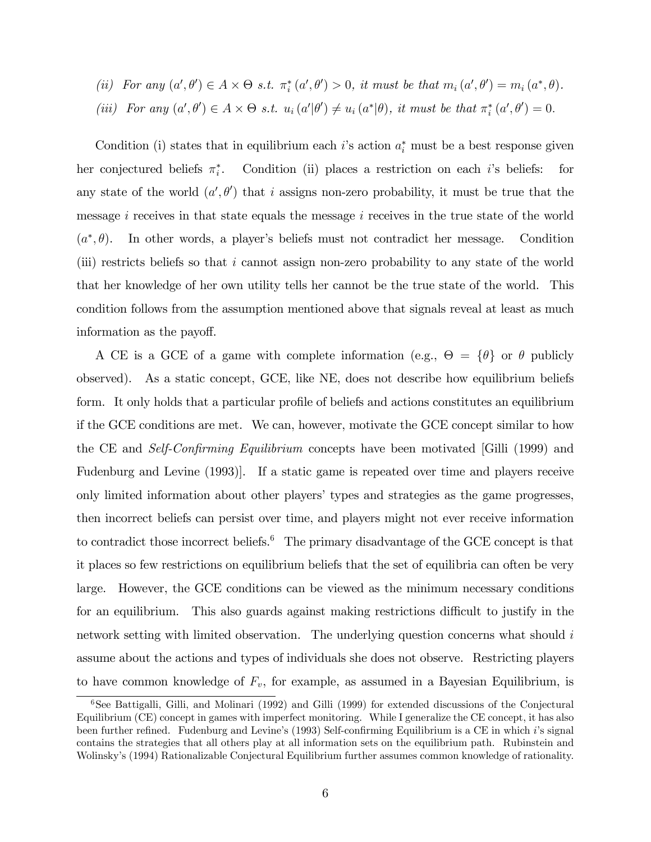(ii) For any 
$$
(a', \theta') \in A \times \Theta
$$
 s.t.  $\pi_i^*(a', \theta') > 0$ , it must be that  $m_i(a', \theta') = m_i(a^*, \theta)$ .  
(iii) For any  $(a', \theta') \in A \times \Theta$  s.t.  $u_i(a'|\theta') \neq u_i(a^*|\theta)$ , it must be that  $\pi_i^*(a', \theta') = 0$ .

Condition (i) states that in equilibrium each i's action  $a_i^*$  must be a best response given her conjectured beliefs  $\pi_i^*$ . Condition (ii) places a restriction on each *i*'s beliefs: for any state of the world  $(a', \theta')$  that i assigns non-zero probability, it must be true that the message i receives in that state equals the message i receives in the true state of the world  $(a^*, \theta)$ . In other words, a player's beliefs must not contradict her message. Condition (iii) restricts beliefs so that i cannot assign non-zero probability to any state of the world that her knowledge of her own utility tells her cannot be the true state of the world. This condition follows from the assumption mentioned above that signals reveal at least as much information as the payoff.

A CE is a GCE of a game with complete information (e.g.,  $\Theta = \{\theta\}$  or  $\theta$  publicly observed). As a static concept, GCE, like NE, does not describe how equilibrium beliefs form. It only holds that a particular profile of beliefs and actions constitutes an equilibrium if the GCE conditions are met. We can, however, motivate the GCE concept similar to how the CE and *Self-Confirming Equilibrium* concepts have been motivated [Gilli (1999) and Fudenburg and Levine (1993). If a static game is repeated over time and players receive only limited information about other players' types and strategies as the game progresses, then incorrect beliefs can persist over time, and players might not ever receive information to contradict those incorrect beliefs.<sup>6</sup> The primary disadvantage of the GCE concept is that it places so few restrictions on equilibrium beliefs that the set of equilibria can often be very large. However, the GCE conditions can be viewed as the minimum necessary conditions for an equilibrium. This also guards against making restrictions difficult to justify in the network setting with limited observation. The underlying question concerns what should  $i$ assume about the actions and types of individuals she does not observe. Restricting players to have common knowledge of  $F_v$ , for example, as assumed in a Bayesian Equilibrium, is

 ${}^{6}$ See Battigalli, Gilli, and Molinari (1992) and Gilli (1999) for extended discussions of the Conjectural Equilibrium (CE) concept in games with imperfect monitoring. While I generalize the CE concept, it has also been further refined. Fudenburg and Levine's (1993) Self-confirming Equilibrium is a CE in which i's signal contains the strategies that all others play at all information sets on the equilibrium path. Rubinstein and Wolinsky's (1994) Rationalizable Conjectural Equilibrium further assumes common knowledge of rationality.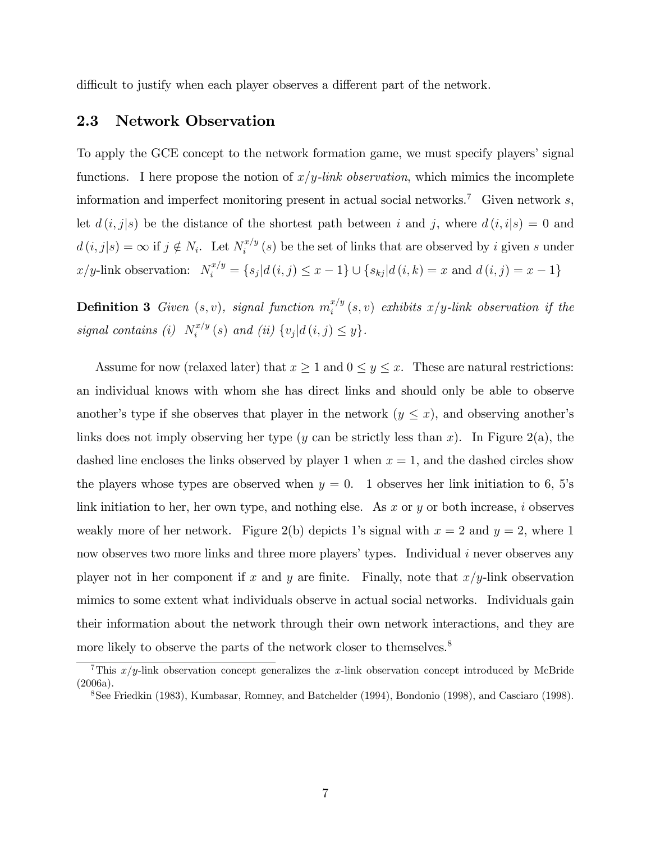difficult to justify when each player observes a different part of the network.

#### **Network Observation**  $2.3\,$

To apply the GCE concept to the network formation game, we must specify players' signal functions. I here propose the notion of  $x/y$ -link observation, which mimics the incomplete information and imperfect monitoring present in actual social networks.<sup>7</sup> Given network  $s$ , let  $d(i, j|s)$  be the distance of the shortest path between i and j, where  $d(i, i|s) = 0$  and  $d(i, j|s) = \infty$  if  $j \notin N_i$ . Let  $N_i^{x/y}(s)$  be the set of links that are observed by i given s under  $x/y$ -link observation:  $N_i^{x/y} = \{s_j | d(i, j) \le x - 1\} \cup \{s_{kj} | d(i, k) = x \text{ and } d(i, j) = x - 1\}$ 

**Definition 3** Given  $(s, v)$ , signal function  $m_i^{x/y}(s, v)$  exhibits  $x/y$ -link observation if the signal contains (i)  $N_i^{x/y}(s)$  and (ii)  $\{v_j | d(i,j) \leq y\}.$ 

Assume for now (relaxed later) that  $x \ge 1$  and  $0 \le y \le x$ . These are natural restrictions: an individual knows with whom she has direct links and should only be able to observe another's type if she observes that player in the network  $(y \leq x)$ , and observing another's links does not imply observing her type  $(y \text{ can be strictly less than } x)$ . In Figure 2(a), the dashed line encloses the links observed by player 1 when  $x = 1$ , and the dashed circles show the players whose types are observed when  $y = 0$ . 1 observes her link initiation to 6, 5's link initiation to her, her own type, and nothing else. As  $x$  or  $y$  or both increase,  $i$  observes weakly more of her network. Figure 2(b) depicts 1's signal with  $x = 2$  and  $y = 2$ , where 1 now observes two more links and three more players' types. Individual  $i$  never observes any player not in her component if x and y are finite. Finally, note that  $x/y$ -link observation mimics to some extent what individuals observe in actual social networks. Individuals gain their information about the network through their own network interactions, and they are more likely to observe the parts of the network closer to themselves.<sup>8</sup>

<sup>&</sup>lt;sup>7</sup>This  $x/y$ -link observation concept generalizes the x-link observation concept introduced by McBride  $(2006a).$ 

<sup>&</sup>lt;sup>8</sup>See Friedkin (1983), Kumbasar, Romney, and Batchelder (1994), Bondonio (1998), and Casciaro (1998).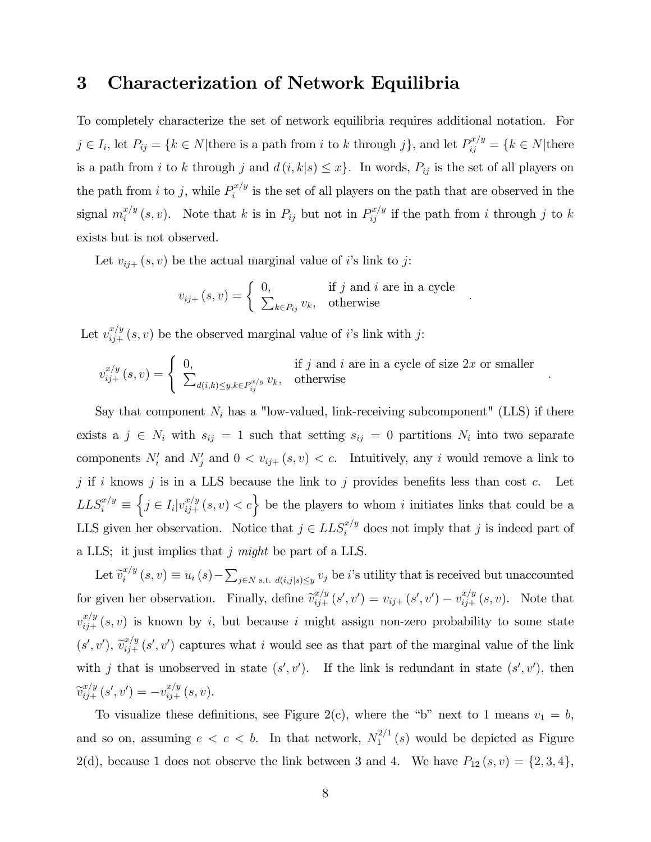#### Characterization of Network Equilibria  $\boldsymbol{3}$

To completely characterize the set of network equilibria requires additional notation. For  $j \in I_i$ , let  $P_{ij} = \{k \in N | \text{there is a path from } i \text{ to } k \text{ through } j\}$ , and let  $P_{ij}^{x/y} = \{k \in N | \text{there is a path from } i \text{ to } k \text{ through } j\}$ is a path from i to k through j and  $d(i,k|s) \leq x$ . In words,  $P_{ij}$  is the set of all players on the path from *i* to *j*, while  $P_i^{x/y}$  is the set of all players on the path that are observed in the signal  $m_i^{x/y}(s, v)$ . Note that k is in  $P_{ij}$  but not in  $P_{ij}^{x/y}$  if the path from i through j to k exists but is not observed.

Let  $v_{ij+}(s, v)$  be the actual marginal value of i's link to j:

$$
v_{ij+}(s,v) = \begin{cases} 0, & \text{if } j \text{ and } i \text{ are in a cycle} \\ \sum_{k \in P_{ij}} v_k, & \text{otherwise} \end{cases}
$$

Let  $v_{ij+}^{x/y}(s, v)$  be the observed marginal value of i's link with j:

$$
v_{ij+}^{x/y}(s,v) = \begin{cases} 0, & \text{if } j \text{ and } i \text{ are in a cycle of size } 2x \text{ or smaller} \\ \sum_{d(i,k)\leq y, k \in P_{ij}^{x/y}} v_k, & \text{otherwise} \end{cases}
$$

Say that component  $N_i$  has a "low-valued, link-receiving subcomponent" (LLS) if there exists a  $j \in N_i$  with  $s_{ij} = 1$  such that setting  $s_{ij} = 0$  partitions  $N_i$  into two separate components  $N'_i$  and  $N'_j$  and  $0 < v_{ij+}(s, v) < c$ . Intuitively, any i would remove a link to  $j$  if i knows  $j$  is in a LLS because the link to  $j$  provides benefits less than cost  $c$ . Let  $LLS_i^{x/y} \equiv \left\{ j \in I_i | v_{ij+}^{x/y}(s, v) < c \right\}$  be the players to whom i initiates links that could be a LLS given her observation. Notice that  $j \in LLS_i^{x/y}$  does not imply that j is indeed part of a LLS; it just implies that  $j$  might be part of a LLS.

Let  $\tilde{v}_i^{x/y}(s, v) \equiv u_i(s) - \sum_{j \in N \text{ s.t. } d(i,j|s) \leq y} v_j$  be *i*'s utility that is received but unaccounted for given her observation. Finally, define  $\tilde{v}_{ij+}^{x/y}(s',v') = v_{ij+}(s',v') - v_{ij+}^{x/y}(s,v)$ . Note that  $v_{ij+}^{x/y}(s, v)$  is known by i, but because i might assign non-zero probability to some state  $(s', v'), \tilde{v}_{ij}^{x/y}(s', v')$  captures what i would see as that part of the marginal value of the link with j that is unobserved in state  $(s', v')$ . If the link is redundant in state  $(s', v')$ , then  $\widetilde{v}_{ij+}^{x/y}(s',v') = -v_{ij+}^{x/y}(s,v).$ 

To visualize these definitions, see Figure 2(c), where the "b" next to 1 means  $v_1 = b$ , and so on, assuming  $e < c < b$ . In that network,  $N_1^{2/1}(s)$  would be depicted as Figure 2(d), because 1 does not observe the link between 3 and 4. We have  $P_{12}(s, v) = \{2, 3, 4\}$ .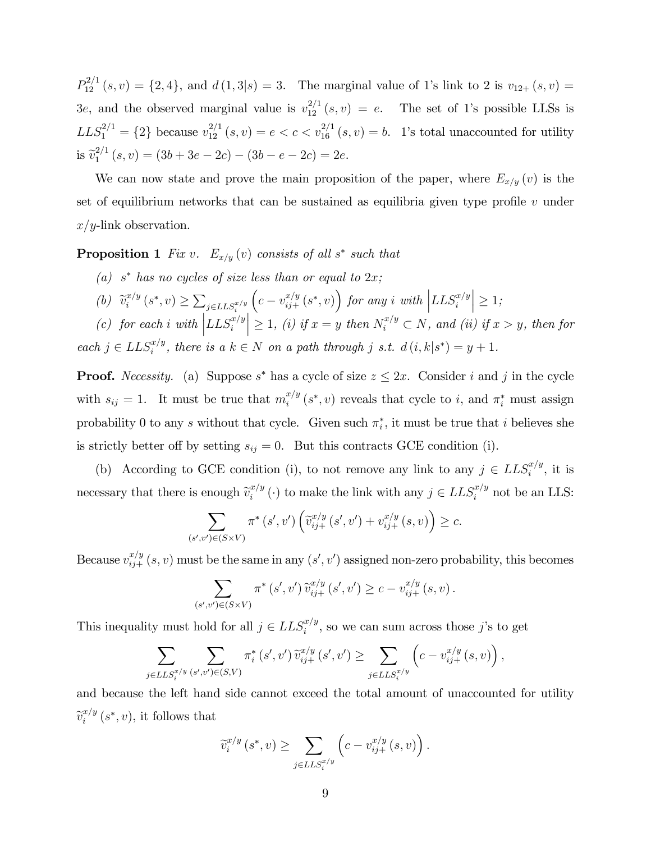$P_{12}^{2/1}(s, v) = \{2, 4\}$ , and  $d(1, 3|s) = 3$ . The marginal value of 1's link to 2 is  $v_{12+}(s, v) =$ 3e, and the observed marginal value is  $v_{12}^{2/1}(s, v) = e$ . The set of 1's possible LLSs is  $LLS_1^{2/1} = \{2\}$  because  $v_{12}^{2/1}(s, v) = e < c < v_{16}^{2/1}(s, v) = b$ . 1's total unaccounted for utility is  $\tilde{v}_1^{2/1}(s, v) = (3b + 3e - 2c) - (3b - e - 2c) = 2e$ .

We can now state and prove the main proposition of the paper, where  $E_{x/y}(v)$  is the set of equilibrium networks that can be sustained as equilibria given type profile  $v$  under  $x/y$ -link observation.

**Proposition 1** Fix v.  $E_{x/y}(v)$  consists of all s<sup>\*</sup> such that

- (a)  $s^*$  has no cycles of size less than or equal to  $2x$ ;
- (b)  $\tilde{v}_i^{x/y}(s^*, v) \ge \sum_{j \in LLS_i^{x/y}} \left( c v_{ij}^{x/y}(s^*, v) \right)$  for any i with  $\left| LLS_i^{x/y} \right| \ge 1$ ;

(c) for each i with  $\left| LLS_i^{x/y} \right| \geq 1$ , (i) if  $x = y$  then  $N_i^{x/y} \subset N$ , and (ii) if  $x > y$ , then for each  $j \in LLS_i^{x/y}$ , there is a  $k \in N$  on a path through j s.t.  $d(i, k|s^*) = y + 1$ .

**Proof.** *Necessity.* (a) Suppose  $s^*$  has a cycle of size  $z \leq 2x$ . Consider i and j in the cycle with  $s_{ij} = 1$ . It must be true that  $m_i^{x/y}(s^*, v)$  reveals that cycle to i, and  $\pi_i^*$  must assign probability 0 to any s without that cycle. Given such  $\pi_i^*$ , it must be true that i believes she is strictly better off by setting  $s_{ij} = 0$ . But this contracts GCE condition (i).

(b) According to GCE condition (i), to not remove any link to any  $j \in LLS_i^{x/y}$ , it is necessary that there is enough  $\widetilde{v}_i^{x/y}(\cdot)$  to make the link with any  $j \in LLS_i^{x/y}$  not be an LLS:

$$
\sum_{(s',v') \in (S \times V)} \pi^* (s',v') \left( \tilde{v}_{ij+}^{x/y} (s',v') + v_{ij+}^{x/y} (s,v) \right) \ge c
$$

Because  $v_{ij+}^{x/y}(s, v)$  must be the same in any  $(s', v')$  assigned non-zero probability, this becomes

$$
\sum_{(s',v') \in (S \times V)} \pi^* (s',v') \tilde{v}_{ij+}^{x/y} (s',v') \ge c - v_{ij+}^{x/y} (s,v).
$$

This inequality must hold for all  $j \in LLS_i^{x/y}$ , so we can sum across those j's to get

$$
\sum_{j \in LLS_i^{x/y}} \sum_{(s',v') \in (S,V)} \pi_i^* (s',v') \widetilde{v}_{ij}^{x/y} (s',v') \ge \sum_{j \in LLS_i^{x/y}} \left( c - v_{ij}^{x/y} (s,v) \right),
$$

and because the left hand side cannot exceed the total amount of unaccounted for utility  $\widetilde{v}_i^{x/y}(s^*, v)$ , it follows that

$$
\widetilde{v}_i^{x/y}\left(s^*, v\right) \ge \sum_{j \in LLS_i^{x/y}} \left(c - v_{ij+}^{x/y}\left(s, v\right)\right).
$$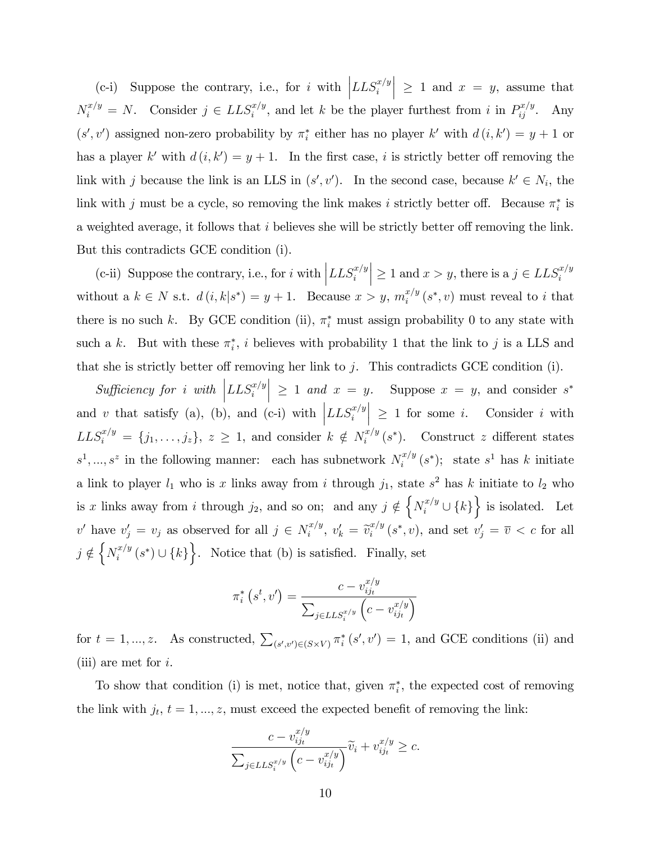(c-i) Suppose the contrary, i.e., for i with  $\left|LLS_i^{x/y}\right| \geq 1$  and  $x = y$ , assume that  $N_i^{x/y} = N$ . Consider  $j \in LLS_i^{x/y}$ , and let k be the player furthest from i in  $P_{ij}^{x/y}$ . Any  $(s', v')$  assigned non-zero probability by  $\pi_i^*$  either has no player k' with  $d(i, k') = y + 1$  or has a player k' with  $d(i, k') = y + 1$ . In the first case, i is strictly better off removing the link with j because the link is an LLS in  $(s', v')$ . In the second case, because  $k' \in N_i$ , the link with j must be a cycle, so removing the link makes i strictly better off. Because  $\pi_i^*$  is a weighted average, it follows that  $i$  believes she will be strictly better off removing the link. But this contradicts GCE condition (i).

(c-ii) Suppose the contrary, i.e., for i with  $\left|LLS_i^{x/y}\right| \geq 1$  and  $x > y$ , there is a  $j \in LLS_i^{x/y}$ without a  $k \in N$  s.t.  $d(i, k|s^*) = y + 1$ . Because  $x > y$ ,  $m_i^{x/y}(s^*, v)$  must reveal to i that there is no such k. By GCE condition (ii),  $\pi_i^*$  must assign probability 0 to any state with such a k. But with these  $\pi_i^*$ , i believes with probability 1 that the link to j is a LLS and that she is strictly better off removing her link to  $j$ . This contradicts GCE condition (i).

Sufficiency for i with  $\left| LLS_i^{x/y} \right| \geq 1$  and  $x = y$ . Suppose  $x = y$ , and consider  $s^*$ and v that satisfy (a), (b), and (c-i) with  $\left|LLS_i^{x/y}\right| \geq 1$  for some i. Consider i with  $LLS_i^{x/y} = \{j_1, \ldots, j_z\}, z \ge 1$ , and consider  $k \notin N_i^{x/y}(s^*)$ . Construct z different states  $s^1, ..., s^z$  in the following manner: each has subnetwork  $N_i^{x/y}(s^*)$ ; state  $s^1$  has k initiate a link to player  $l_1$  who is x links away from i through  $j_1$ , state  $s^2$  has k initiate to  $l_2$  who is x links away from i through  $j_2$ , and so on; and any  $j \notin \{N_i^{x/y} \cup \{k\}\}\$ is isolated. Let  $v'$  have  $v'_j = v_j$  as observed for all  $j \in N_i^{x/y}$ ,  $v'_k = \tilde{v}_i^{x/y}(s^*, v)$ , and set  $v'_j = \overline{v} < c$  for all  $j \notin \left\{ N_i^{x/y} (s^*) \cup \{k\} \right\}$ . Notice that (b) is satisfied. Finally, set

$$
\pi_i^* \left( s^t, v' \right) = \frac{c - v_{ij_t}^{x/y}}{\sum_{j \in LLS_i^{x/y}} \left( c - v_{ij_t}^{x/y} \right)}
$$

for  $t = 1, ..., z$ . As constructed,  $\sum_{(s',v')\in (S\times V)} \pi_i^*(s', v') = 1$ , and GCE conditions (ii) and (iii) are met for  $i$ .

To show that condition (i) is met, notice that, given  $\pi_i^*$ , the expected cost of removing the link with  $j_t$ ,  $t = 1, ..., z$ , must exceed the expected benefit of removing the link:

$$
\frac{c - v_{ij_t}^{x/y}}{\sum_{j \in LLS_i^{x/y}} \left(c - v_{ij_t}^{x/y}\right)} \widetilde{v}_i + v_{ij_t}^{x/y} \ge c.
$$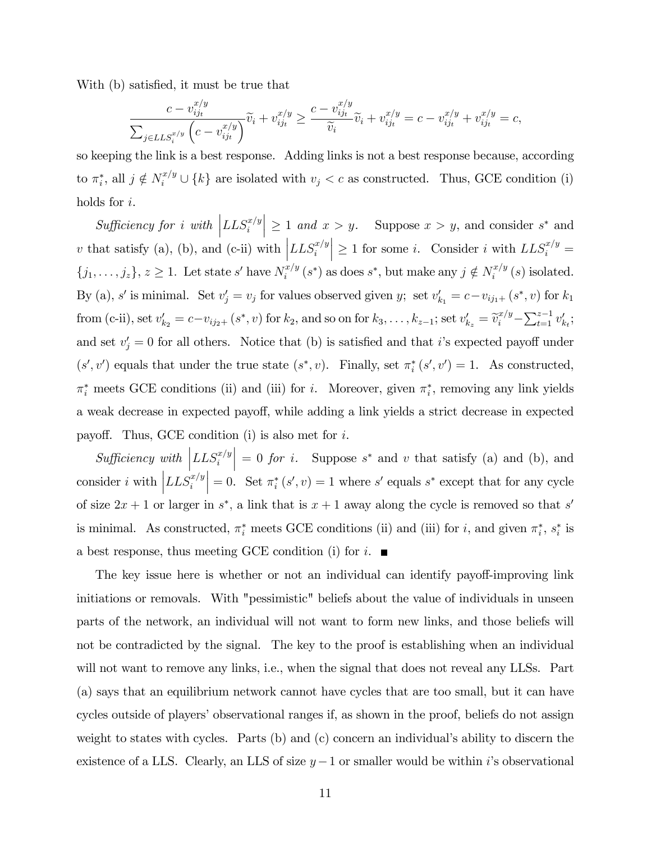With (b) satisfied, it must be true that

$$
\frac{c - v_{ij_t}^{x/y}}{\sum_{j \in LLS_i^{x/y}} \left( c - v_{ij_t}^{x/y} \right)} \widetilde{v}_i + v_{ij_t}^{x/y} \ge \frac{c - v_{ij_t}^{x/y}}{\widetilde{v}_i} \widetilde{v}_i + v_{ij_t}^{x/y} = c - v_{ij_t}^{x/y} + v_{ij_t}^{x/y} = c,
$$

so keeping the link is a best response. Adding links is not a best response because, according to  $\pi_i^*$ , all  $j \notin N_i^{x/y} \cup \{k\}$  are isolated with  $v_j < c$  as constructed. Thus, GCE condition (i) holds for  $i$ .

 $\textit{Sufficiency}$  for i with  $\left| \textit{LLS}_i^{x/y} \right|$  $\vert \geq 1$  and  $x > y$ . Suppose  $x > y$ , and consider  $s^*$  and v that satisfy (a), (b), and (c-ii) with  $\Big|LLS_i^{x/y}$  $\Big| \geq 1$  for some *i*. Consider *i* with  $LLS_i^{x/y} =$  $\{j_1,\ldots,j_z\}, z \geq 1$ . Let state s' have  $N_i^{x/y}(s^*)$  as does s<sup>\*</sup>, but make any  $j \notin N_i^{x/y}(s)$  isolated. By (a), s' is minimal. Set  $v'_j = v_j$  for values observed given y; set  $v'_{k_1} = c - v_{ij_1 +}(s^*, v)$  for  $k_1$ from (c-ii), set  $v'_{k_2} = c - v_{ij_2+}(s^*, v)$  for  $k_2$ , and so on for  $k_3, \ldots, k_{z-1}$ ; set  $v'_{k_z} = \tilde{v}_i^{x/y} - \sum_{t=1}^{z-1} v'_{k_t}$ ; and set  $v_j' = 0$  for all others. Notice that (b) is satisfied and that *i*'s expected payoff under  $(s', v')$  equals that under the true state  $(s^*, v)$ . Finally, set  $\pi_i^*(s', v') = 1$ . As constructed,  $\pi_i^*$  meets GCE conditions (ii) and (iii) for *i*. Moreover, given  $\pi_i^*$ , removing any link yields a weak decrease in expected payoff, while adding a link yields a strict decrease in expected payoff. Thus, GCE condition (i) is also met for  $i$ .

 $\textit{Sufficiency with }\Big|LLS_i^{x/y}$  $= 0$  *for i*. Suppose  $s^*$  and *v* that satisfy (a) and (b), and consider *i* with  $\left|LLS_i^{x/y}\right|$  $= 0.$  Set  $\pi_i^*(s', v) = 1$  where s' equals  $s^*$  except that for any cycle of size  $2x + 1$  or larger in  $s^*$ , a link that is  $x + 1$  away along the cycle is removed so that  $s'$ is minimal. As constructed,  $\pi_i^*$  meets GCE conditions (ii) and (iii) for *i*, and given  $\pi_i^*, s_i^*$  is a best response, thus meeting GCE condition (i) for  $i$ .

The key issue here is whether or not an individual can identify payoff-improving link initiations or removals. With "pessimistic" beliefs about the value of individuals in unseen parts of the network, an individual will not want to form new links, and those beliefs will not be contradicted by the signal. The key to the proof is establishing when an individual will not want to remove any links, i.e., when the signal that does not reveal any LLSs. Part (a) says that an equilibrium network cannot have cycles that are too small, but it can have cycles outside of players' observational ranges if, as shown in the proof, beliefs do not assign weight to states with cycles. Parts (b) and (c) concern an individual's ability to discern the existence of a LLS. Clearly, an LLS of size  $y-1$  or smaller would be within *i*'s observational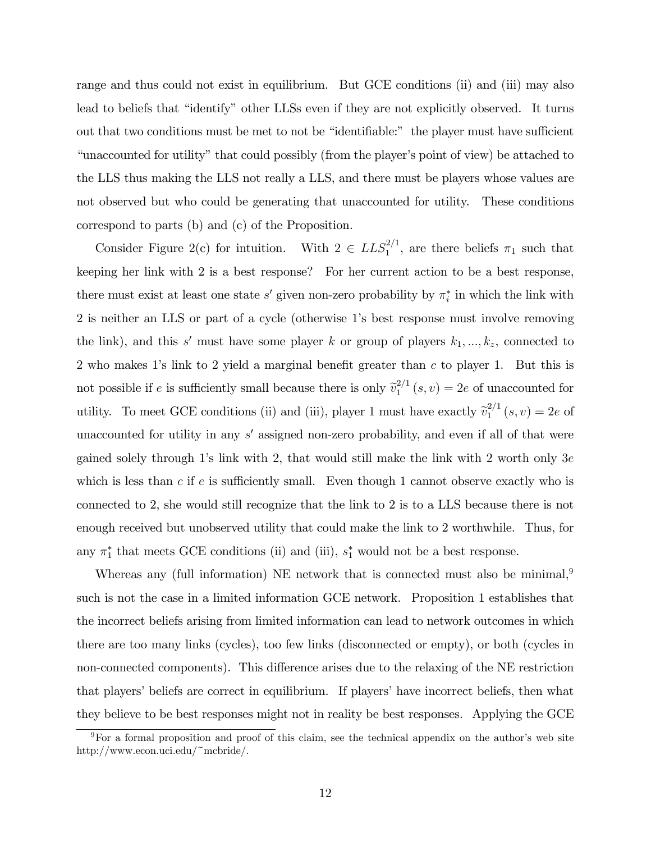range and thus could not exist in equilibrium. But GCE conditions (ii) and (iii) may also lead to beliefs that "identify" other LLSs even if they are not explicitly observed. It turns out that two conditions must be met to not be "identifiable." the player must have sufficient "unaccounted for utility" that could possibly (from the player's point of view) be attached to the LLS thus making the LLS not really a LLS, and there must be players whose values are not observed but who could be generating that unaccounted for utility. These conditions correspond to parts  $(b)$  and  $(c)$  of the Proposition.

Consider Figure 2(c) for intuition. With  $2 \in LLS_1^{2/1}$ , are there beliefs  $\pi_1$  such that keeping her link with 2 is a best response? For her current action to be a best response, there must exist at least one state  $s'$  given non-zero probability by  $\pi_i^*$  in which the link with 2 is neither an LLS or part of a cycle (otherwise 1's best response must involve removing the link), and this s' must have some player k or group of players  $k_1, ..., k_z$ , connected to 2 who makes 1's link to 2 yield a marginal benefit greater than c to player 1. But this is not possible if e is sufficiently small because there is only  $\tilde{v}_1^{2/1}(s, v) = 2e$  of unaccounted for utility. To meet GCE conditions (ii) and (iii), player 1 must have exactly  $\tilde{v}_1^{2/1}(s, v) = 2e$  of unaccounted for utility in any  $s'$  assigned non-zero probability, and even if all of that were gained solely through 1's link with 2, that would still make the link with 2 worth only 3e which is less than  $c$  if  $e$  is sufficiently small. Even though 1 cannot observe exactly who is connected to 2, she would still recognize that the link to 2 is to a LLS because there is not enough received but unobserved utility that could make the link to 2 worthwhile. Thus, for any  $\pi_1^*$  that meets GCE conditions (ii) and (iii),  $s_1^*$  would not be a best response.

Whereas any (full information) NE network that is connected must also be minimal,<sup>9</sup> such is not the case in a limited information GCE network. Proposition 1 establishes that the incorrect beliefs arising from limited information can lead to network outcomes in which there are too many links (cycles), too few links (disconnected or empty), or both (cycles in non-connected components). This difference arises due to the relaxing of the NE restriction that players' beliefs are correct in equilibrium. If players' have incorrect beliefs, then what they believe to be best responses might not in reality be best responses. Applying the GCE

 $9$  For a formal proposition and proof of this claim, see the technical appendix on the author's web site http://www.econ.uci.edu/~mcbride/.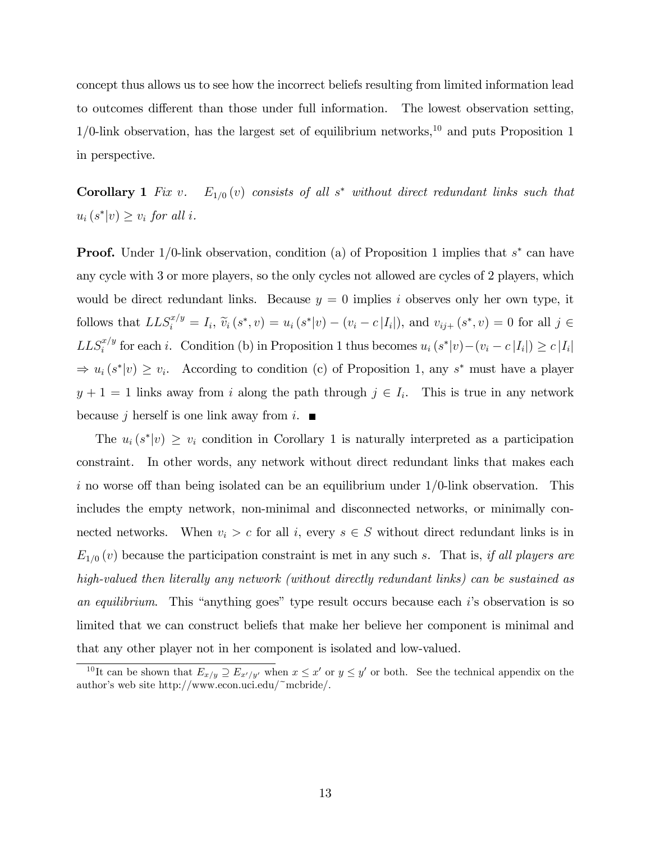concept thus allows us to see how the incorrect beliefs resulting from limited information lead to outcomes different than those under full information. The lowest observation setting,  $1/0$ -link observation, has the largest set of equilibrium networks,<sup>10</sup> and puts Proposition 1 in perspective.

**Corollary 1** Fix v.  $E_{1/0}(v)$  consists of all s<sup>\*</sup> without direct redundant links such that  $u_i(s^*|v) \ge v_i$  for all i.

**Proof.** Under  $1/0$ -link observation, condition (a) of Proposition 1 implies that  $s^*$  can have any cycle with 3 or more players, so the only cycles not allowed are cycles of 2 players, which would be direct redundant links. Because  $y=0$  implies i observes only her own type, it follows that  $LLS_i^{x/y} = I_i$ ,  $\tilde{v}_i(s^*, v) = u_i(s^*|v) - (v_i - c|I_i|)$ , and  $v_{ij+}(s^*, v) = 0$  for all  $j \in$  $LLS_i^{x/y}$  for each i. Condition (b) in Proposition 1 thus becomes  $u_i(s^*|v) - (v_i - c |I_i|) \ge c |I_i|$  $\Rightarrow u_i(s^*|v) \geq v_i$ . According to condition (c) of Proposition 1, any s<sup>\*</sup> must have a player  $y+1=1$  links away from i along the path through  $j \in I_i$ . This is true in any network because *j* herself is one link away from *i*.  $\blacksquare$ 

The  $u_i(s^*|v) \geq v_i$  condition in Corollary 1 is naturally interpreted as a participation constraint. In other words, any network without direct redundant links that makes each i no worse off than being isolated can be an equilibrium under  $1/0$ -link observation. This includes the empty network, non-minimal and disconnected networks, or minimally connected networks. When  $v_i > c$  for all i, every  $s \in S$  without direct redundant links is in  $E_{1/0}(v)$  because the participation constraint is met in any such s. That is, if all players are  $high$ -valued then literally any network (without directly redundant links) can be sustained as an equilibrium. This "anything goes" type result occurs because each i's observation is so limited that we can construct beliefs that make her believe her component is minimal and that any other player not in her component is isolated and low-valued.

<sup>&</sup>lt;sup>10</sup>It can be shown that  $E_{x/y} \supseteq E_{x'/y'}$  when  $x \leq x'$  or  $y \leq y'$  or both. See the technical appendix on the author's web site http://www.econ.uci.edu/~mcbride/.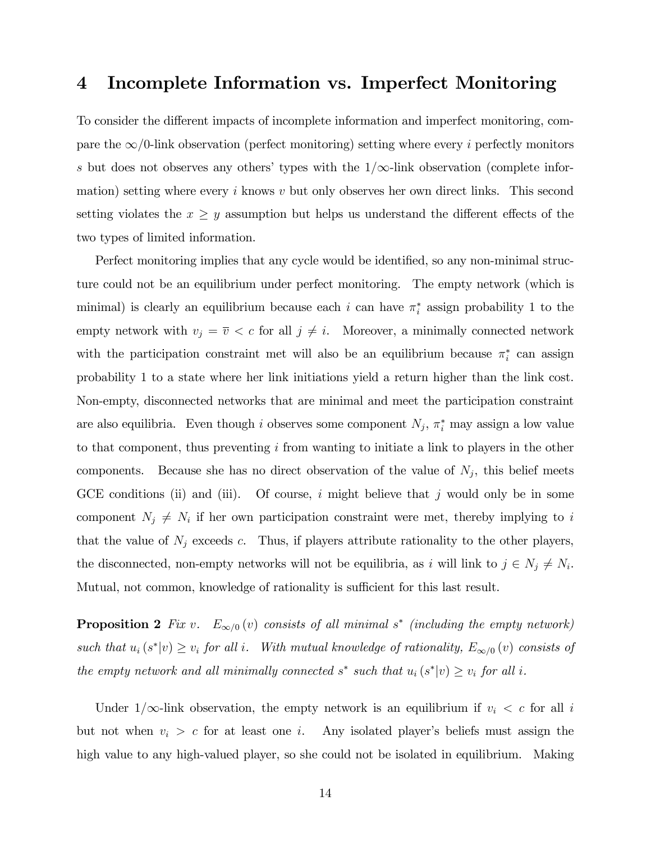# 4 Incomplete Information vs. Imperfect Monitoring

To consider the different impacts of incomplete information and imperfect monitoring, compare the  $\infty$ /0-link observation (perfect monitoring) setting where every *i* perfectly monitors s but does not observes any others' types with the  $1/\infty$ -link observation (complete information) setting where every i knows v but only observes her own direct links. This second setting violates the  $x \geq y$  assumption but helps us understand the different effects of the two types of limited information.

Perfect monitoring implies that any cycle would be identified, so any non-minimal structure could not be an equilibrium under perfect monitoring. The empty network (which is minimal) is clearly an equilibrium because each i can have  $\pi_i^*$  assign probability 1 to the empty network with  $v_j = \overline{v} < c$  for all  $j \neq i$ . Moreover, a minimally connected network with the participation constraint met will also be an equilibrium because  $\pi_i^*$  can assign probability 1 to a state where her link initiations yield a return higher than the link cost. Non-empty, disconnected networks that are minimal and meet the participation constraint are also equilibria. Even though i observes some component  $N_j$ ,  $\pi_i^*$  may assign a low value to that component, thus preventing  $i$  from wanting to initiate a link to players in the other components. Because she has no direct observation of the value of  $N_j$ , this belief meets GCE conditions (ii) and (iii). Of course, i might believe that j would only be in some component  $N_j \neq N_i$  if her own participation constraint were met, thereby implying to i that the value of  $N_j$  exceeds c. Thus, if players attribute rationality to the other players, the disconnected, non-empty networks will not be equilibria, as i will link to  $j \in N_j \neq N_i$ . Mutual, not common, knowledge of rationality is sufficient for this last result.

**Proposition 2** Fix v.  $E_{\infty/0}(v)$  consists of all minimal s<sup>\*</sup> (including the empty network) such that  $u_i(s^*|v) \ge v_i$  for all i. With mutual knowledge of rationality,  $E_{\infty/0}(v)$  consists of the empty network and all minimally connected  $s^*$  such that  $u_i(s^*|v) \geq v_i$  for all i.

Under  $1/\infty$ -link observation, the empty network is an equilibrium if  $v_i < c$  for all i but not when  $v_i > c$  for at least one i. Any isolated player's beliefs must assign the high value to any high-valued player, so she could not be isolated in equilibrium. Making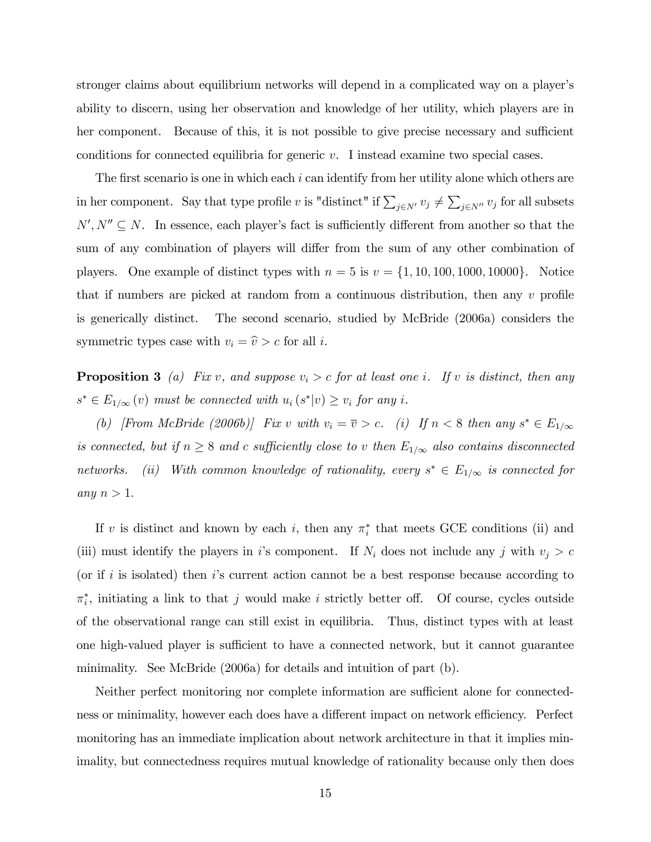stronger claims about equilibrium networks will depend in a complicated way on a player's ability to discern, using her observation and knowledge of her utility, which players are in her component. Because of this, it is not possible to give precise necessary and sufficient conditions for connected equilibria for generic  $v$ . I instead examine two special cases.

The first scenario is one in which each  $i$  can identify from her utility alone which others are in her component. Say that type profile v is "distinct" if  $\sum_{j \in N'} v_j \neq \sum_{j \in N''} v_j$  for all subsets  $N', N'' \subseteq N$ . In essence, each player's fact is sufficiently different from another so that the sum of any combination of players will differ from the sum of any other combination of players. One example of distinct types with  $n = 5$  is  $v = \{1, 10, 100, 1000, 10000\}$ . Notice that if numbers are picked at random from a continuous distribution, then any  $v$  profile is generically distinct. The second scenario, studied by McBride (2006a) considers the symmetric types case with  $v_i = \hat{v} > c$  for all *i*.

**Proposition 3** (a) Fix v, and suppose  $v_i > c$  for at least one i. If v is distinct, then any  $s^* \in E_{1/\infty}(v)$  must be connected with  $u_i(s^*|v) \ge v_i$  for any i.

(b) [From McBride (2006b)] Fix v with  $v_i = \overline{v} > c$ . (i) If  $n < 8$  then any  $s^* \in E_{1/\infty}$ is connected, but if  $n \geq 8$  and c sufficiently close to v then  $E_{1/\infty}$  also contains disconnected networks. (ii) With common knowledge of rationality, every  $s^* \in E_{1/\infty}$  is connected for any  $n>1$ .

If v is distinct and known by each i, then any  $\pi_i^*$  that meets GCE conditions (ii) and (iii) must identify the players in i's component. If  $N_i$  does not include any j with  $v_j > c$ (or if i is isolated) then i's current action cannot be a best response because according to  $\pi_i^*$ , initiating a link to that j would make i strictly better off. Of course, cycles outside of the observational range can still exist in equilibria. Thus, distinct types with at least one high-valued player is sufficient to have a connected network, but it cannot guarantee minimality. See McBride (2006a) for details and intuition of part (b).

Neither perfect monitoring nor complete information are sufficient alone for connectedness or minimality, however each does have a different impact on network efficiency. Perfect monitoring has an immediate implication about network architecture in that it implies min-: imality, but connectedness requires mutual knowledge of rationality because only then does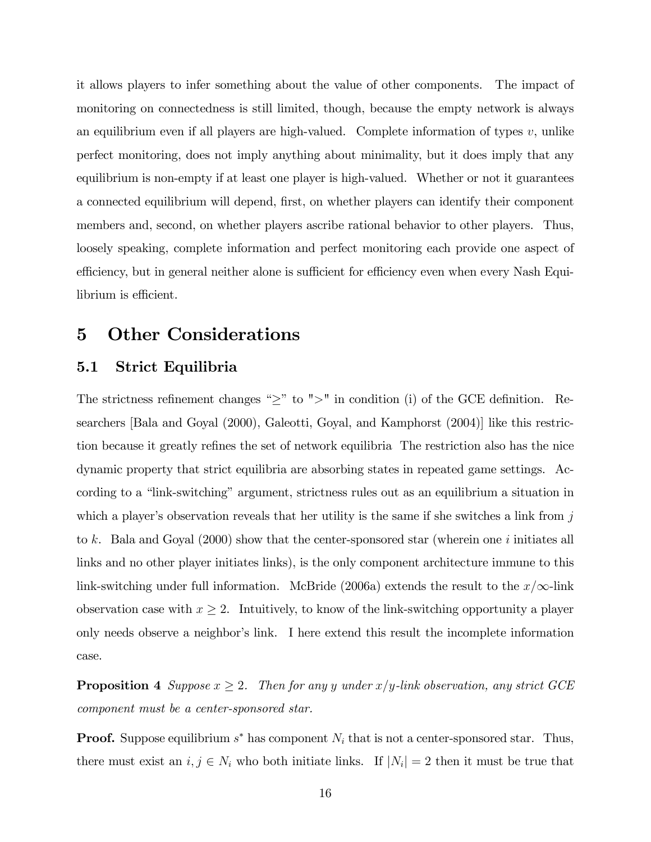it allows players to infer something about the value of other components. The impact of monitoring on connectedness is still limited, though, because the empty network is always an equilibrium even if all players are high-valued. Complete information of types  $v$ , unlike perfect monitoring, does not imply anything about minimality, but it does imply that any equilibrium is non-empty if at least one player is high-valued. Whether or not it guarantees a connected equilibrium will depend, first, on whether players can identify their component members and, second, on whether players ascribe rational behavior to other players. Thus, loosely speaking, complete information and perfect monitoring each provide one aspect of efficiency, but in general neither alone is sufficient for efficiency even when every Nash Equilibrium is efficient.

# 5 Other Considerations

## 5.1 Strict Equilibria

The strictness refinement changes " $\geq$ " to " $>$ " in condition (i) of the GCE definition. Researchers [Bala and Goyal (2000), Galeotti, Goyal, and Kamphorst (2004)] like this restriction because it greatly refines the set of network equilibria. The restriction also has the nice dynamic property that strict equilibria are absorbing states in repeated game settings. According to a "link-switching" argument, strictness rules out as an equilibrium a situation in which a player's observation reveals that her utility is the same if she switches a link from  $j$ to k. Bala and Goyal  $(2000)$  show that the center-sponsored star (wherein one i initiates all links and no other player initiates links), is the only component architecture immune to this link-switching under full information. McBride (2006a) extends the result to the  $x/\infty$ -link observation case with  $x \geq 2$ . Intuitively, to know of the link-switching opportunity a player only needs observe a neighbor's link. I here extend this result the incomplete information case.

**Proposition 4** Suppose  $x \geq 2$ . Then for any y under  $x/y$ -link observation, any strict GCE  $component$  must be a center-sponsored star.

**Proof.** Suppose equilibrium  $s^*$  has component  $N_i$  that is not a center-sponsored star. Thus, there must exist an  $i, j \in N_i$  who both initiate links. If  $|N_i| = 2$  then it must be true that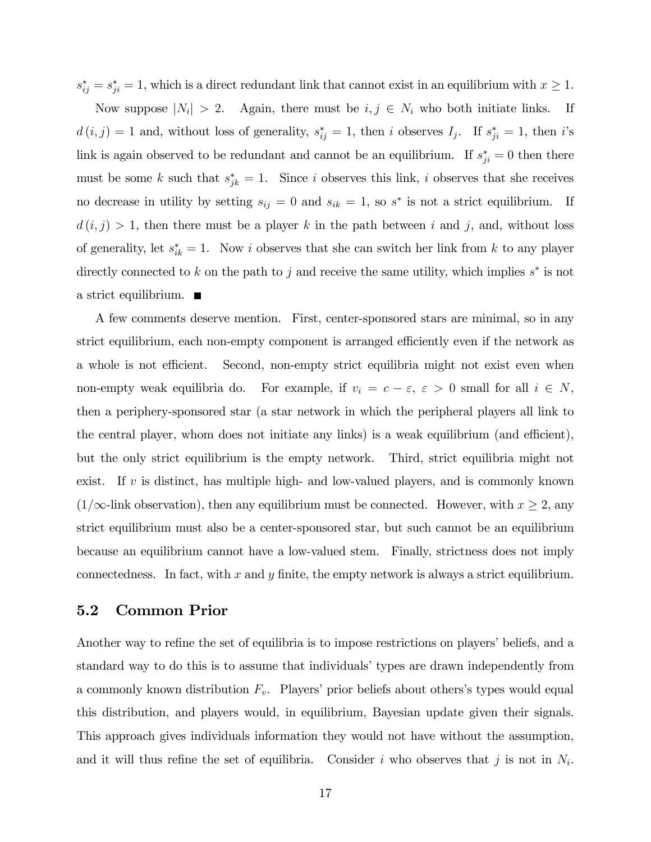$s_{ij}^* = s_{ji}^* = 1$ , which is a direct redundant link that cannot exist in an equilibrium with  $x \ge 1$ .

Now suppose  $|N_i| > 2$ . Again, there must be  $i, j \in N_i$  who both initiate links. If  $d(i, j) = 1$  and, without loss of generality,  $s_{ij}^* = 1$ , then i observes  $I_j$ . If  $s_{ji}^* = 1$ , then i's link is again observed to be redundant and cannot be an equilibrium. If  $s_{ji}^* = 0$  then there must be some k such that  $s_{jk}^* = 1$ . Since i observes this link, i observes that she receives no decrease in utility by setting  $s_{ij} = 0$  and  $s_{ik} = 1$ , so s<sup>\*</sup> is not a strict equilibrium. If  $d(i, j) > 1$ , then there must be a player k in the path between i and j, and, without loss of generality, let  $s_{ik}^* = 1$ . Now i observes that she can switch her link from k to any player directly connected to k on the path to j and receive the same utility, which implies  $s^*$  is not a strict equilibrium.  $\blacksquare$ 

A few comments deserve mention. First, center-sponsored stars are minimal, so in any strict equilibrium, each non-empty component is arranged efficiently even if the network as Second, non-empty strict equilibria might not exist even when a whole is not efficient. non-empty weak equilibria do. For example, if  $v_i = c - \varepsilon$ ,  $\varepsilon > 0$  small for all  $i \in N$ , then a periphery-sponsored star (a star network in which the peripheral players all link to the central player, whom does not initiate any links) is a weak equilibrium (and efficient), but the only strict equilibrium is the empty network. Third, strict equilibria might not exist. If  $v$  is distinct, has multiple high- and low-valued players, and is commonly known  $(1/\infty)$ -link observation), then any equilibrium must be connected. However, with  $x \geq 2$ , any strict equilibrium must also be a center-sponsored star, but such cannot be an equilibrium because an equilibrium cannot have a low-valued stem. Finally, strictness does not imply connectedness. In fact, with  $x$  and  $y$  finite, the empty network is always a strict equilibrium.

#### $5.2$ **Common Prior**

Another way to refine the set of equilibria is to impose restrictions on players' beliefs, and a standard way to do this is to assume that individuals' types are drawn independently from a commonly known distribution  $F_v$ . Players' prior beliefs about others's types would equal this distribution, and players would, in equilibrium, Bayesian update given their signals. This approach gives individuals information they would not have without the assumption, and it will thus refine the set of equilibria. Consider i who observes that j is not in  $N_i$ .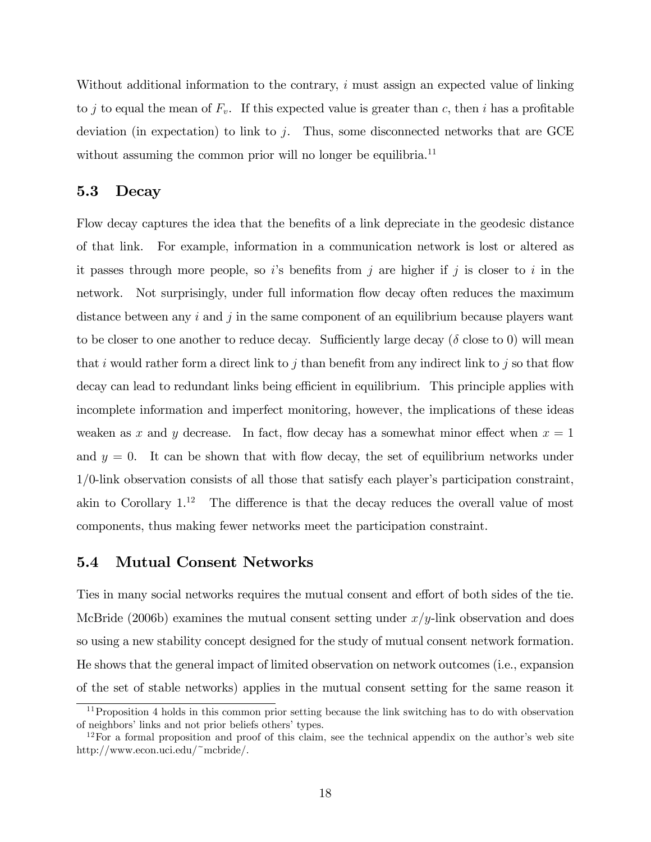Without additional information to the contrary,  $i$  must assign an expected value of linking to j to equal the mean of  $F_v$ . If this expected value is greater than c, then i has a profitable deviation (in expectation) to link to  $j$ . Thus, some disconnected networks that are GCE without assuming the common prior will no longer be equilibria.<sup>11</sup>

### 5.3 Decay

Flow decay captures the idea that the benefits of a link depreciate in the geodesic distance of that link. For example, information in a communication network is lost or altered as it passes through more people, so is benefits from j are higher if j is closer to i in the network. Not surprisingly, under full information flow decay often reduces the maximum distance between any i and j in the same component of an equilibrium because players want to be closer to one another to reduce decay. Sufficiently large decay ( $\delta$  close to 0) will mean that i would rather form a direct link to j than benefit from any indirect link to j so that flow decay can lead to redundant links being efficient in equilibrium. This principle applies with incomplete information and imperfect monitoring, however, the implications of these ideas weaken as x and y decrease. In fact, flow decay has a somewhat minor effect when  $x=1$ and  $y = 0$ . It can be shown that with flow decay, the set of equilibrium networks under 1/0-link observation consists of all those that satisfy each player's participation constraint, akin to Corollary  $1^{12}$  The difference is that the decay reduces the overall value of most components, thus making fewer networks meet the participation constraint.

### 5.4 Mutual Consent Networks

Ties in many social networks requires the mutual consent and effort of both sides of the tie. McBride (2006b) examines the mutual consent setting under  $x/y$ -link observation and does so using a new stability concept designed for the study of mutual consent network formation. He shows that the general impact of limited observation on network outcomes (i.e., expansion of the set of stable networks) applies in the mutual consent setting for the same reason it

 $^{11}$ Proposition 4 holds in this common prior setting because the link switching has to do with observation of neighbors' links and not prior beliefs others' types.

 $^{12}$  For a formal proposition and proof of this claim, see the technical appendix on the author's web site http://www.econ.uci.edu/~mcbride/.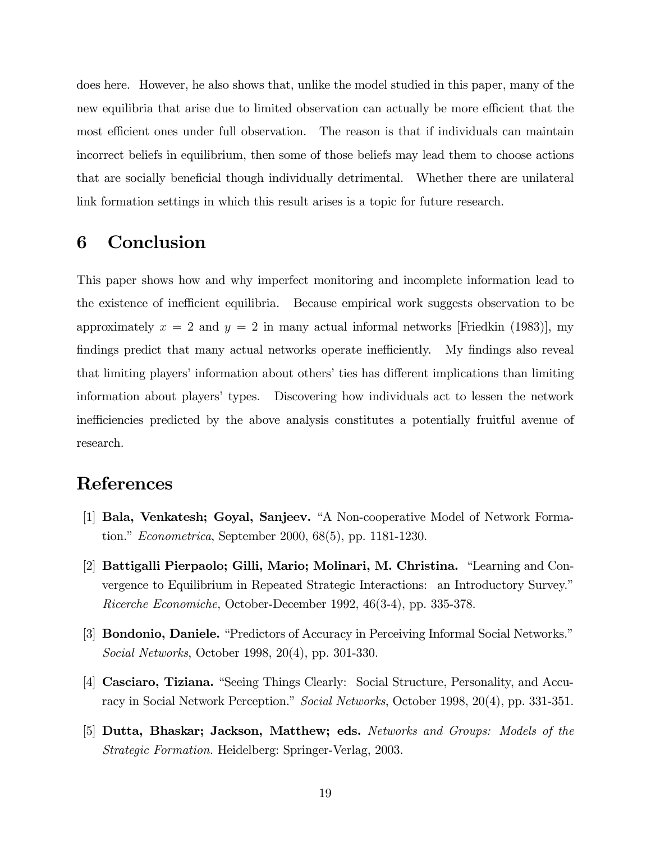does here. However, he also shows that, unlike the model studied in this paper, many of the new equilibria that arise due to limited observation can actually be more efficient that the most efficient ones under full observation. The reason is that if individuals can maintain incorrect beliefs in equilibrium, then some of those beliefs may lead them to choose actions that are socially beneficial though individually detrimental. Whether there are unilateral link formation settings in which this result arises is a topic for future research.

#### 6 Conclusion

This paper shows how and why imperfect monitoring and incomplete information lead to the existence of inefficient equilibria. Because empirical work suggests observation to be approximately  $x = 2$  and  $y = 2$  in many actual informal networks [Friedkin (1983)], my findings predict that many actual networks operate inefficiently. My findings also reveal that limiting players' information about others' ties has different implications than limiting information about players' types. Discovering how individuals act to lessen the network inefficiencies predicted by the above analysis constitutes a potentially fruitful avenue of research.

# References

- [1] **Bala, Venkatesh; Goyal, Sanjeev.** "A Non-cooperative Model of Network Formation." *Econometrica*, September 2000, 68 $(5)$ , pp. 1181-1230.
- [2] Battigalli Pierpaolo; Gilli, Mario; Molinari, M. Christina. "Learning and Convergence to Equilibrium in Repeated Strategic Interactions: an Introductory Survey." *Ricerche Economiche*, October-December 1992, 46(3-4), pp. 335-378.
- [3] **Bondonio, Daniele.** "Predictors of Accuracy in Perceiving Informal Social Networks." Social Networks, October 1998,  $20(4)$ , pp. 301-330.
- [4] **Casciaro, Tiziana.** "Seeing Things Clearly: Social Structure, Personality, and Accuracy in Social Network Perception." Social Networks, October 1998, 20(4), pp. 331-351.
- [5] Dutta, Bhaskar; Jackson, Matthew; eds. Networks and Groups: Models of the Strategic Formation. Heidelberg: Springer-Verlag, 2003.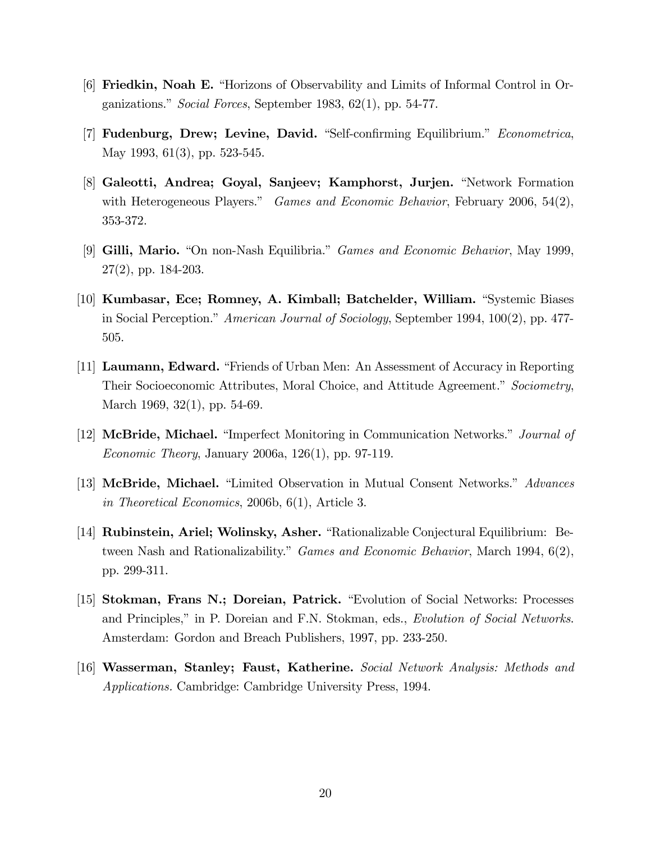- [6] Friedkin, Noah E. "Horizons of Observability and Limits of Informal Control in Organizations." Social Forces, September 1983,  $62(1)$ , pp. 54-77.
- [7] Fudenburg, Drew; Levine, David. "Self-confirming Equilibrium." Econometrica, May 1993,  $61(3)$ , pp. 523-545.
- [8] Galeotti, Andrea; Goyal, Sanjeev; Kamphorst, Jurjen. "Network Formation" with Heterogeneous Players." Games and Economic Behavior, February 2006, 54(2), 353-372.
- [9] Gilli, Mario. "On non-Nash Equilibria." *Games and Economic Behavior*, May 1999,  $27(2)$ , pp. 184-203.
- [10] Kumbasar, Ece; Romney, A. Kimball; Batchelder, William. "Systemic Biases in Social Perception." American Journal of Sociology, September 1994, 100(2), pp. 477-505.
- [11] Laumann, Edward. "Friends of Urban Men: An Assessment of Accuracy in Reporting Their Socioeconomic Attributes, Moral Choice, and Attitude Agreement." Sociometry, March 1969, 32(1), pp. 54-69.
- [12] McBride, Michael. "Imperfect Monitoring in Communication Networks." Journal of *Economic Theory*, January 2006a,  $126(1)$ , pp. 97-119.
- [13] McBride, Michael. "Limited Observation in Mutual Consent Networks." Advances in Theoretical Economics, 2006b, 6(1), Article 3.
- [14] Rubinstein, Ariel; Wolinsky, Asher. "Rationalizable Conjectural Equilibrium: Between Nash and Rationalizability." Games and Economic Behavior, March 1994, 6(2), pp. 299-311.
- [15] Stokman, Frans N.; Doreian, Patrick. "Evolution of Social Networks: Processes and Principles," in P. Doreian and F.N. Stokman, eds., Evolution of Social Networks. Amsterdam: Gordon and Breach Publishers, 1997, pp. 233-250.
- [16] Wasserman, Stanley; Faust, Katherine. Social Network Analysis: Methods and *Applications.* Cambridge: Cambridge University Press, 1994.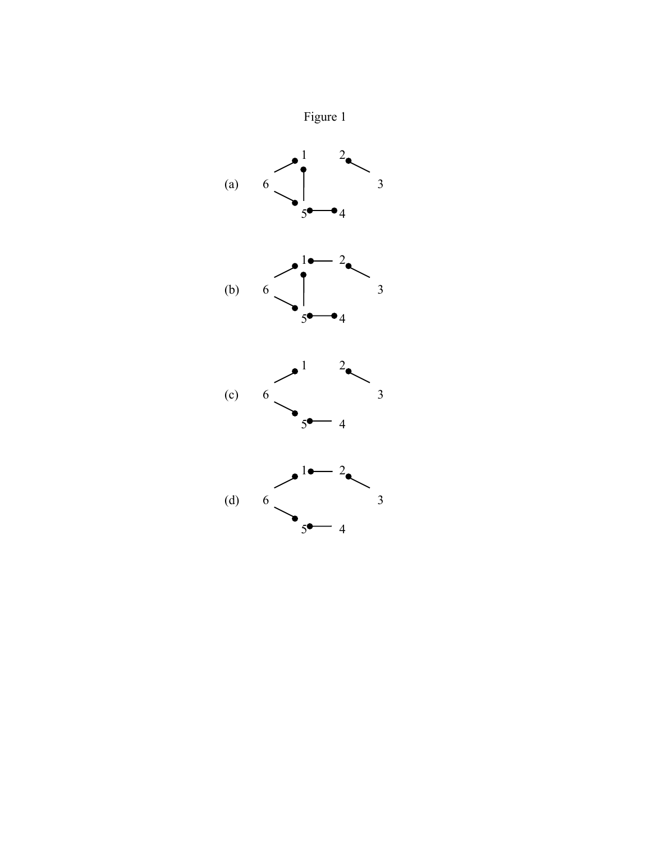